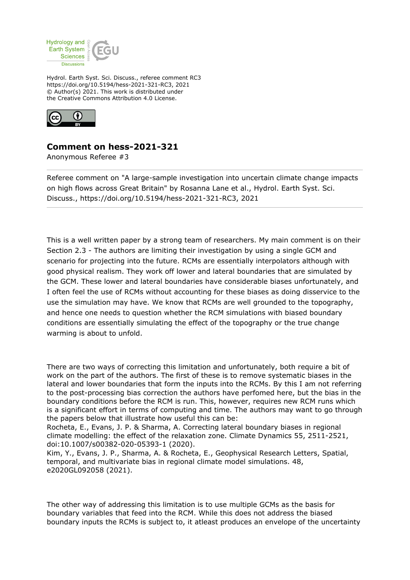

Hydrol. Earth Syst. Sci. Discuss., referee comment RC3 https://doi.org/10.5194/hess-2021-321-RC3, 2021 © Author(s) 2021. This work is distributed under the Creative Commons Attribution 4.0 License.



## **Comment on hess-2021-321**

Anonymous Referee #3

Referee comment on "A large-sample investigation into uncertain climate change impacts on high flows across Great Britain" by Rosanna Lane et al., Hydrol. Earth Syst. Sci. Discuss., https://doi.org/10.5194/hess-2021-321-RC3, 2021

This is a well written paper by a strong team of researchers. My main comment is on their Section 2.3 - The authors are limiting their investigation by using a single GCM and scenario for projecting into the future. RCMs are essentially interpolators although with good physical realism. They work off lower and lateral boundaries that are simulated by the GCM. These lower and lateral boundaries have considerable biases unfortunately, and I often feel the use of RCMs without accounting for these biases as doing disservice to the use the simulation may have. We know that RCMs are well grounded to the topography, and hence one needs to question whether the RCM simulations with biased boundary conditions are essentially simulating the effect of the topography or the true change warming is about to unfold.

There are two ways of correcting this limitation and unfortunately, both require a bit of work on the part of the authors. The first of these is to remove systematic biases in the lateral and lower boundaries that form the inputs into the RCMs. By this I am not referring to the post-processing bias correction the authors have perfomed here, but the bias in the boundary conditions before the RCM is run. This, however, requires new RCM runs which is a significant effort in terms of computing and time. The authors may want to go through the papers below that illustrate how useful this can be:

Rocheta, E., Evans, J. P. & Sharma, A. Correcting lateral boundary biases in regional climate modelling: the effect of the relaxation zone. Climate Dynamics 55, 2511-2521, doi:10.1007/s00382-020-05393-1 (2020).

Kim, Y., Evans, J. P., Sharma, A. & Rocheta, E., Geophysical Research Letters, Spatial, temporal, and multivariate bias in regional climate model simulations. 48, e2020GL092058 (2021).

The other way of addressing this limitation is to use multiple GCMs as the basis for boundary variables that feed into the RCM. While this does not address the biased boundary inputs the RCMs is subject to, it atleast produces an envelope of the uncertainty